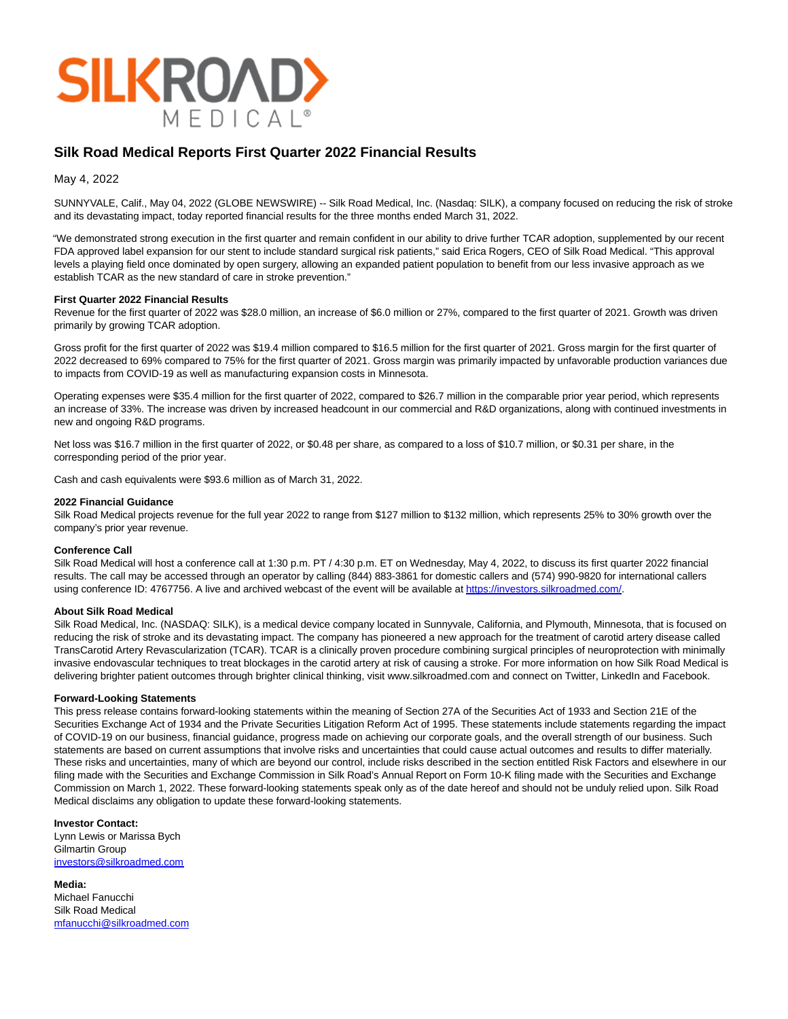

# **Silk Road Medical Reports First Quarter 2022 Financial Results**

May 4, 2022

SUNNYVALE, Calif., May 04, 2022 (GLOBE NEWSWIRE) -- Silk Road Medical, Inc. (Nasdaq: SILK), a company focused on reducing the risk of stroke and its devastating impact, today reported financial results for the three months ended March 31, 2022.

"We demonstrated strong execution in the first quarter and remain confident in our ability to drive further TCAR adoption, supplemented by our recent FDA approved label expansion for our stent to include standard surgical risk patients," said Erica Rogers, CEO of Silk Road Medical. "This approval levels a playing field once dominated by open surgery, allowing an expanded patient population to benefit from our less invasive approach as we establish TCAR as the new standard of care in stroke prevention."

#### **First Quarter 2022 Financial Results**

Revenue for the first quarter of 2022 was \$28.0 million, an increase of \$6.0 million or 27%, compared to the first quarter of 2021. Growth was driven primarily by growing TCAR adoption.

Gross profit for the first quarter of 2022 was \$19.4 million compared to \$16.5 million for the first quarter of 2021. Gross margin for the first quarter of 2022 decreased to 69% compared to 75% for the first quarter of 2021. Gross margin was primarily impacted by unfavorable production variances due to impacts from COVID-19 as well as manufacturing expansion costs in Minnesota.

Operating expenses were \$35.4 million for the first quarter of 2022, compared to \$26.7 million in the comparable prior year period, which represents an increase of 33%. The increase was driven by increased headcount in our commercial and R&D organizations, along with continued investments in new and ongoing R&D programs.

Net loss was \$16.7 million in the first quarter of 2022, or \$0.48 per share, as compared to a loss of \$10.7 million, or \$0.31 per share, in the corresponding period of the prior year.

Cash and cash equivalents were \$93.6 million as of March 31, 2022.

#### **2022 Financial Guidance**

Silk Road Medical projects revenue for the full year 2022 to range from \$127 million to \$132 million, which represents 25% to 30% growth over the company's prior year revenue.

### **Conference Call**

Silk Road Medical will host a conference call at 1:30 p.m. PT / 4:30 p.m. ET on Wednesday, May 4, 2022, to discuss its first quarter 2022 financial results. The call may be accessed through an operator by calling (844) 883-3861 for domestic callers and (574) 990-9820 for international callers using conference ID: 4767756. A live and archived webcast of the event will be available at https://investors.silkroadmed.com/.

#### **About Silk Road Medical**

Silk Road Medical, Inc. (NASDAQ: SILK), is a medical device company located in Sunnyvale, California, and Plymouth, Minnesota, that is focused on reducing the risk of stroke and its devastating impact. The company has pioneered a new approach for the treatment of carotid artery disease called TransCarotid Artery Revascularization (TCAR). TCAR is a clinically proven procedure combining surgical principles of neuroprotection with minimally invasive endovascular techniques to treat blockages in the carotid artery at risk of causing a stroke. For more information on how Silk Road Medical is delivering brighter patient outcomes through brighter clinical thinking, visit www.silkroadmed.com and connect on Twitter, LinkedIn and Facebook.

#### **Forward-Looking Statements**

This press release contains forward-looking statements within the meaning of Section 27A of the Securities Act of 1933 and Section 21E of the Securities Exchange Act of 1934 and the Private Securities Litigation Reform Act of 1995. These statements include statements regarding the impact of COVID-19 on our business, financial guidance, progress made on achieving our corporate goals, and the overall strength of our business. Such statements are based on current assumptions that involve risks and uncertainties that could cause actual outcomes and results to differ materially. These risks and uncertainties, many of which are beyond our control, include risks described in the section entitled Risk Factors and elsewhere in our filing made with the Securities and Exchange Commission in Silk Road's Annual Report on Form 10-K filing made with the Securities and Exchange Commission on March 1, 2022. These forward-looking statements speak only as of the date hereof and should not be unduly relied upon. Silk Road Medical disclaims any obligation to update these forward-looking statements.

### **Investor Contact:**

Lynn Lewis or Marissa Bych Gilmartin Group [investors@silkroadmed.com](https://www.globenewswire.com/Tracker?data=8WglfHItrp6TDgZY_wdM0o16Jv8w1PDeGybq3Ncj5ifBm19wfLQ19dqIWh9_yCTKwrSzImnklR2gHmM--RlW2mHlMeDvQloLiCfUIZGF65Q=)

**Media:** Michael Fanucchi Silk Road Medical [mfanucchi@silkroadmed.com](https://www.globenewswire.com/Tracker?data=OQJvXFw3LqybHqq4jVhdpMgzy_AxcY_kd0x_Xep8gZsPHgowyFcvZK-9xIhaYNNif9Yw2mHAASzwIPDWIOLtczx31pdYLIAYBB5HYhHJyBI=)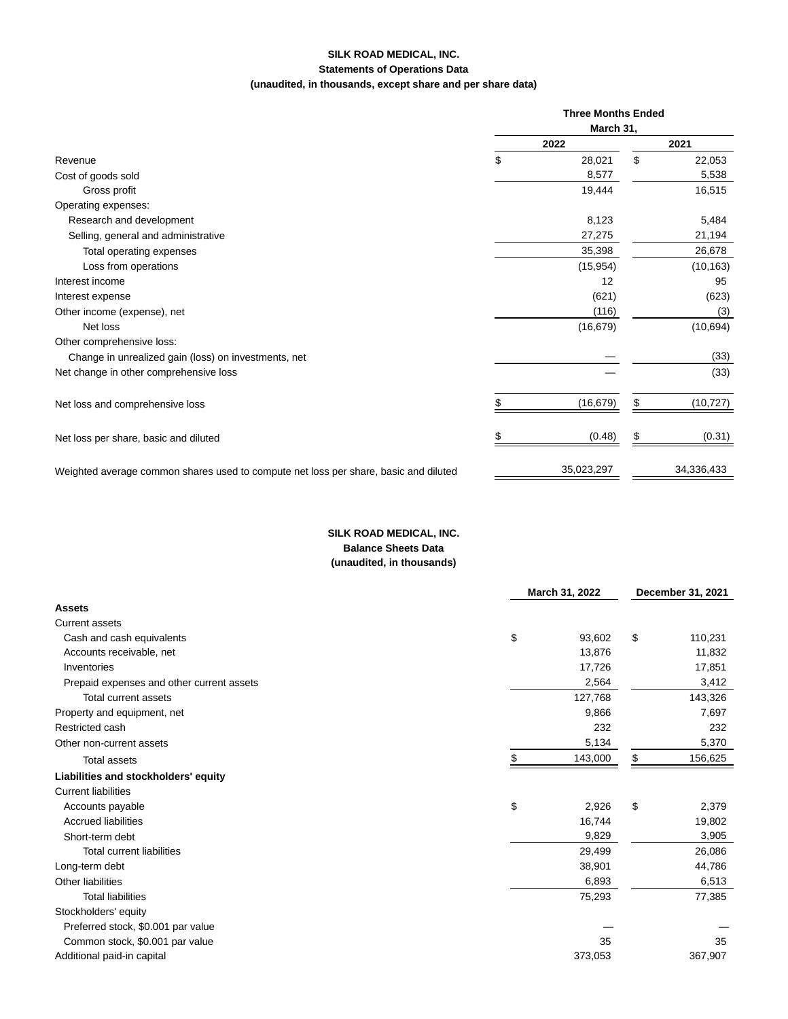## **SILK ROAD MEDICAL, INC. Statements of Operations Data (unaudited, in thousands, except share and per share data)**

|                                                                                      | <b>Three Months Ended</b> |            |      |            |  |
|--------------------------------------------------------------------------------------|---------------------------|------------|------|------------|--|
|                                                                                      | March 31,                 |            |      |            |  |
| Revenue                                                                              | 2022                      |            | 2021 |            |  |
|                                                                                      | \$                        | 28,021     | \$   | 22,053     |  |
| Cost of goods sold                                                                   |                           | 8,577      |      | 5,538      |  |
| Gross profit                                                                         |                           | 19,444     |      | 16,515     |  |
| Operating expenses:                                                                  |                           |            |      |            |  |
| Research and development                                                             |                           | 8,123      |      | 5,484      |  |
| Selling, general and administrative                                                  |                           | 27,275     |      | 21,194     |  |
| Total operating expenses                                                             |                           | 35,398     |      | 26,678     |  |
| Loss from operations                                                                 |                           | (15, 954)  |      | (10, 163)  |  |
| Interest income                                                                      |                           | 12         |      | 95         |  |
| Interest expense                                                                     |                           | (621)      |      | (623)      |  |
| Other income (expense), net                                                          |                           | (116)      |      | (3)        |  |
| Net loss                                                                             |                           | (16, 679)  |      | (10, 694)  |  |
| Other comprehensive loss:                                                            |                           |            |      |            |  |
| Change in unrealized gain (loss) on investments, net                                 |                           |            |      | (33)       |  |
| Net change in other comprehensive loss                                               |                           |            |      | (33)       |  |
| Net loss and comprehensive loss                                                      |                           | (16, 679)  | \$   | (10, 727)  |  |
| Net loss per share, basic and diluted                                                |                           | (0.48)     |      | (0.31)     |  |
| Weighted average common shares used to compute net loss per share, basic and diluted |                           | 35,023,297 |      | 34,336,433 |  |

# **SILK ROAD MEDICAL, INC. Balance Sheets Data (unaudited, in thousands)**

|                                           | March 31, 2022 |         | December 31, 2021 |         |
|-------------------------------------------|----------------|---------|-------------------|---------|
| <b>Assets</b>                             |                |         |                   |         |
| <b>Current assets</b>                     |                |         |                   |         |
| Cash and cash equivalents                 | \$             | 93,602  | \$                | 110,231 |
| Accounts receivable, net                  |                | 13,876  |                   | 11,832  |
| Inventories                               |                | 17,726  |                   | 17,851  |
| Prepaid expenses and other current assets |                | 2,564   |                   | 3,412   |
| <b>Total current assets</b>               |                | 127,768 |                   | 143,326 |
| Property and equipment, net               |                | 9,866   |                   | 7,697   |
| Restricted cash                           |                | 232     |                   | 232     |
| Other non-current assets                  |                | 5,134   |                   | 5,370   |
| <b>Total assets</b>                       |                | 143,000 | \$                | 156,625 |
| Liabilities and stockholders' equity      |                |         |                   |         |
| <b>Current liabilities</b>                |                |         |                   |         |
| Accounts payable                          | \$             | 2,926   | \$                | 2,379   |
| <b>Accrued liabilities</b>                |                | 16,744  |                   | 19,802  |
| Short-term debt                           |                | 9,829   |                   | 3,905   |
| <b>Total current liabilities</b>          |                | 29,499  |                   | 26,086  |
| Long-term debt                            |                | 38,901  |                   | 44,786  |
| Other liabilities                         |                | 6,893   |                   | 6,513   |
| <b>Total liabilities</b>                  |                | 75,293  |                   | 77,385  |
| Stockholders' equity                      |                |         |                   |         |
| Preferred stock, \$0.001 par value        |                |         |                   |         |
| Common stock, \$0.001 par value           |                | 35      |                   | 35      |
| Additional paid-in capital                |                | 373,053 |                   | 367,907 |